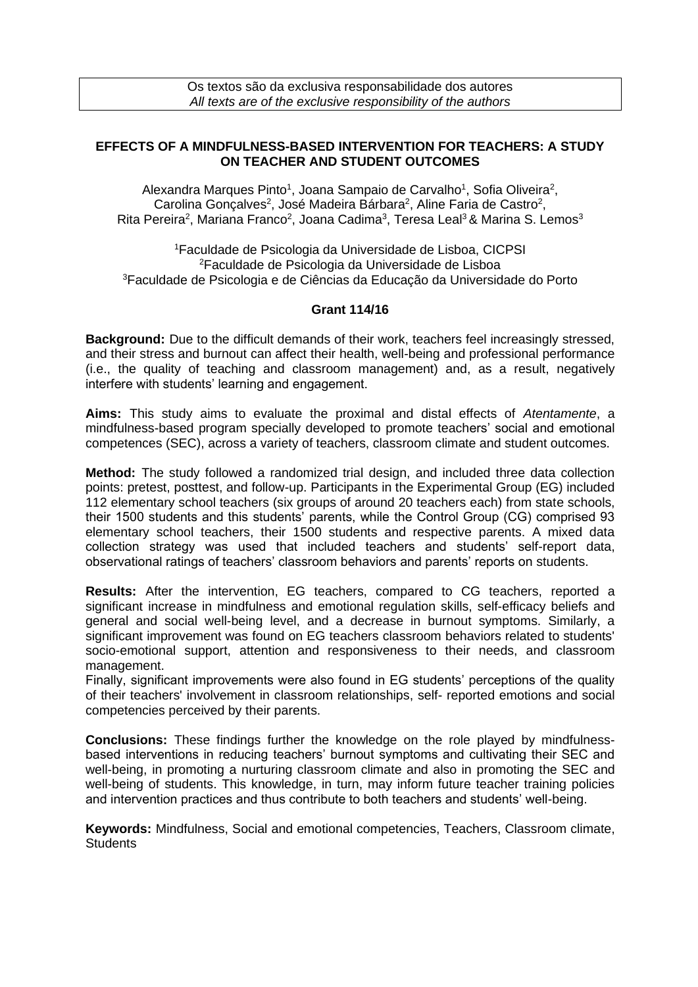Os textos são da exclusiva responsabilidade dos autores *All texts are of the exclusive responsibility of the authors*

## **EFFECTS OF A MINDFULNESS-BASED INTERVENTION FOR TEACHERS: A STUDY ON TEACHER AND STUDENT OUTCOMES**

Alexandra Marques Pinto<sup>1</sup>, Joana Sampaio de Carvalho<sup>1</sup>, Sofia Oliveira<sup>2</sup>, Carolina Gonçalves<sup>2</sup>, José Madeira Bárbara<sup>2</sup>, Aline Faria de Castro<sup>2</sup>, Rita Pereira<sup>2</sup>, Mariana Franco<sup>2</sup>, Joana Cadima<sup>3</sup>, Teresa Leal<sup>3</sup> & Marina S. Lemos<sup>3</sup>

<sup>1</sup>Faculdade de Psicologia da Universidade de Lisboa, CICPSI <sup>2</sup>Faculdade de Psicologia da Universidade de Lisboa <sup>3</sup>Faculdade de Psicologia e de Ciências da Educação da Universidade do Porto

## **Grant 114/16**

**Background:** Due to the difficult demands of their work, teachers feel increasingly stressed, and their stress and burnout can affect their health, well-being and professional performance (i.e., the quality of teaching and classroom management) and, as a result, negatively interfere with students' learning and engagement.

**Aims:** This study aims to evaluate the proximal and distal effects of *Atentamente*, a mindfulness-based program specially developed to promote teachers' social and emotional competences (SEC), across a variety of teachers, classroom climate and student outcomes.

**Method:** The study followed a randomized trial design, and included three data collection points: pretest, posttest, and follow-up. Participants in the Experimental Group (EG) included 112 elementary school teachers (six groups of around 20 teachers each) from state schools, their 1500 students and this students' parents, while the Control Group (CG) comprised 93 elementary school teachers, their 1500 students and respective parents. A mixed data collection strategy was used that included teachers and students' self-report data, observational ratings of teachers' classroom behaviors and parents' reports on students.

**Results:** After the intervention, EG teachers, compared to CG teachers, reported a significant increase in mindfulness and emotional regulation skills, self-efficacy beliefs and general and social well-being level, and a decrease in burnout symptoms. Similarly, a significant improvement was found on EG teachers classroom behaviors related to students' socio-emotional support, attention and responsiveness to their needs, and classroom management.

Finally, significant improvements were also found in EG students' perceptions of the quality of their teachers' involvement in classroom relationships, self- reported emotions and social competencies perceived by their parents.

**Conclusions:** These findings further the knowledge on the role played by mindfulnessbased interventions in reducing teachers' burnout symptoms and cultivating their SEC and well-being, in promoting a nurturing classroom climate and also in promoting the SEC and well-being of students. This knowledge, in turn, may inform future teacher training policies and intervention practices and thus contribute to both teachers and students' well-being.

**Keywords:** Mindfulness, Social and emotional competencies, Teachers, Classroom climate, **Students**